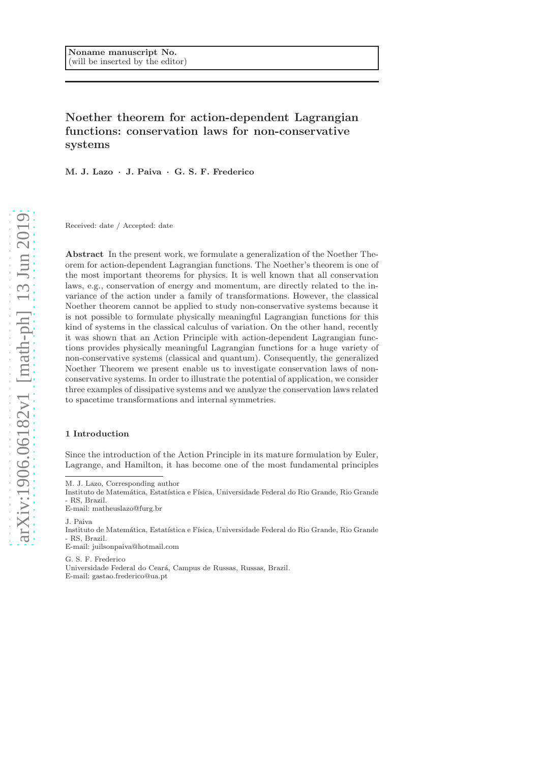# Noether theorem for action-dependent Lagrangian functions: conservation laws for non-conservative systems

M. J. Lazo · J. Paiva · G. S. F. Frederico

Received: date / Accepted: date

Abstract In the present work, we formulate a generalization of the Noether Theorem for action-dependent Lagrangian functions. The Noether's theorem is one of the most important theorems for physics. It is well known that all conservation laws, e.g., conservation of energy and momentum, are directly related to the invariance of the action under a family of transformations. However, the classical Noether theorem cannot be applied to study non-conservative systems because it is not possible to formulate physically meaningful Lagrangian functions for this kind of systems in the classical calculus of variation. On the other hand, recently it was shown that an Action Principle with action-dependent Lagrangian functions provides physically meaningful Lagrangian functions for a huge variety of non-conservative systems (classical and quantum). Consequently, the generalized Noether Theorem we present enable us to investigate conservation laws of nonconservative systems. In order to illustrate the potential of application, we consider three examples of dissipative systems and we analyze the conservation laws related to spacetime transformations and internal symmetries.

# 1 Introduction

Since the introduction of the Action Principle in its mature formulation by Euler, Lagrange, and Hamilton, it has become one of the most fundamental principles

M. J. Lazo, Corresponding author

J. Paiva

Instituto de Matemática, Estatística e Física, Universidade Federal do Rio Grande, Rio Grande - RS, Brazil.

E-mail: juilsonpaiva@hotmail.com

G. S. F. Frederico Universidade Federal do Cear´a, Campus de Russas, Russas, Brazil. E-mail: gastao.frederico@ua.pt

Instituto de Matemática, Estatística e Física, Universidade Federal do Rio Grande, Rio Grande - RS, Brazil.

E-mail: matheuslazo@furg.br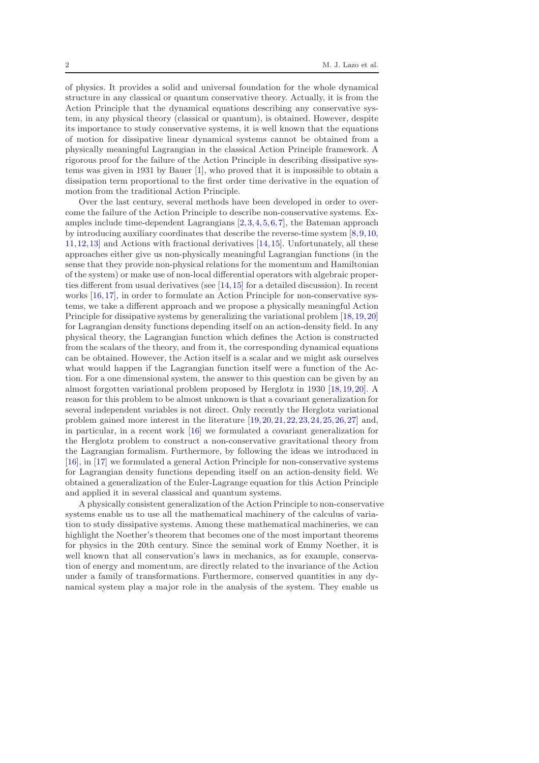of physics. It provides a solid and universal foundation for the whole dynamical structure in any classical or quantum conservative theory. Actually, it is from the Action Principle that the dynamical equations describing any conservative system, in any physical theory (classical or quantum), is obtained. However, despite its importance to study conservative systems, it is well known that the equations of motion for dissipative linear dynamical systems cannot be obtained from a physically meaningful Lagrangian in the classical Action Principle framework. A rigorous proof for the failure of the Action Principle in describing dissipative systems was given in 1931 by Bauer [\[1\]](#page-15-0), who proved that it is impossible to obtain a dissipation term proportional to the first order time derivative in the equation of motion from the traditional Action Principle.

Over the last century, several methods have been developed in order to overcome the failure of the Action Principle to describe non-conservative systems. Examples include time-dependent Lagrangians [\[2,](#page-15-1)[3,](#page-15-2)[4,](#page-15-3)[5,](#page-15-4)[6,](#page-15-5)[7\]](#page-15-6), the Bateman approach by introducing auxiliary coordinates that describe the reverse-time system  $[8,9,10]$  $[8,9,10]$  $[8,9,10]$ , [11,](#page-15-10)[12,](#page-15-11)[13\]](#page-15-12) and Actions with fractional derivatives [\[14,](#page-15-13)[15\]](#page-15-14). Unfortunately, all these approaches either give us non-physically meaningful Lagrangian functions (in the sense that they provide non-physical relations for the momentum and Hamiltonian of the system) or make use of non-local differential operators with algebraic properties different from usual derivatives (see [\[14,](#page-15-13)[15\]](#page-15-14) for a detailed discussion). In recent works [\[16,](#page-15-15)[17\]](#page-15-16), in order to formulate an Action Principle for non-conservative systems, we take a different approach and we propose a physically meaningful Action Principle for dissipative systems by generalizing the variational problem [\[18,](#page-15-17)[19,](#page-16-0)[20\]](#page-16-1) for Lagrangian density functions depending itself on an action-density field. In any physical theory, the Lagrangian function which defines the Action is constructed from the scalars of the theory, and from it, the corresponding dynamical equations can be obtained. However, the Action itself is a scalar and we might ask ourselves what would happen if the Lagrangian function itself were a function of the Action. For a one dimensional system, the answer to this question can be given by an almost forgotten variational problem proposed by Herglotz in 1930 [\[18,](#page-15-17)[19,](#page-16-0)[20\]](#page-16-1). A reason for this problem to be almost unknown is that a covariant generalization for several independent variables is not direct. Only recently the Herglotz variational problem gained more interest in the literature [\[19,](#page-16-0)[20,](#page-16-1)[21,](#page-16-2)[22,](#page-16-3)[23,](#page-16-4)[24,](#page-16-5)[25,](#page-16-6)[26,](#page-16-7)[27\]](#page-16-8) and, in particular, in a recent work [\[16\]](#page-15-15) we formulated a covariant generalization for the Herglotz problem to construct a non-conservative gravitational theory from the Lagrangian formalism. Furthermore, by following the ideas we introduced in [\[16\]](#page-15-15), in [\[17\]](#page-15-16) we formulated a general Action Principle for non-conservative systems for Lagrangian density functions depending itself on an action-density field. We obtained a generalization of the Euler-Lagrange equation for this Action Principle and applied it in several classical and quantum systems.

A physically consistent generalization of the Action Principle to non-conservative systems enable us to use all the mathematical machinery of the calculus of variation to study dissipative systems. Among these mathematical machineries, we can highlight the Noether's theorem that becomes one of the most important theorems for physics in the 20th century. Since the seminal work of Emmy Noether, it is well known that all conservation's laws in mechanics, as for example, conservation of energy and momentum, are directly related to the invariance of the Action under a family of transformations. Furthermore, conserved quantities in any dynamical system play a major role in the analysis of the system. They enable us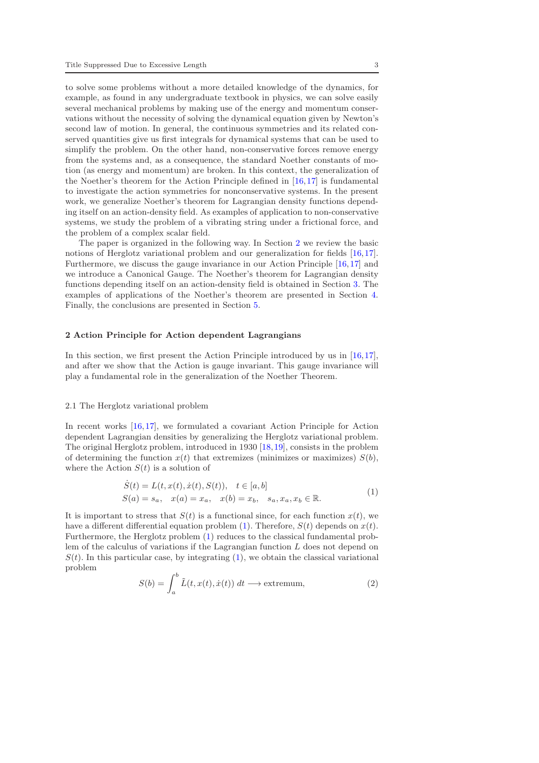to solve some problems without a more detailed knowledge of the dynamics, for example, as found in any undergraduate textbook in physics, we can solve easily several mechanical problems by making use of the energy and momentum conservations without the necessity of solving the dynamical equation given by Newton's second law of motion. In general, the continuous symmetries and its related conserved quantities give us first integrals for dynamical systems that can be used to simplify the problem. On the other hand, non-conservative forces remove energy from the systems and, as a consequence, the standard Noether constants of motion (as energy and momentum) are broken. In this context, the generalization of the Noether's theorem for the Action Principle defined in [\[16,](#page-15-15)[17\]](#page-15-16) is fundamental to investigate the action symmetries for nonconservative systems. In the present work, we generalize Noether's theorem for Lagrangian density functions depending itself on an action-density field. As examples of application to non-conservative systems, we study the problem of a vibrating string under a frictional force, and the problem of a complex scalar field.

The paper is organized in the following way. In Section [2](#page-2-0) we review the basic notions of Herglotz variational problem and our generalization for fields [\[16,](#page-15-15)[17\]](#page-15-16). Furthermore, we discuss the gauge invariance in our Action Principle [\[16,](#page-15-15)[17\]](#page-15-16) and we introduce a Canonical Gauge. The Noether's theorem for Lagrangian density functions depending itself on an action-density field is obtained in Section [3.](#page-6-0) The examples of applications of the Noether's theorem are presented in Section [4.](#page-11-0) Finally, the conclusions are presented in Section [5.](#page-14-0)

#### <span id="page-2-0"></span>2 Action Principle for Action dependent Lagrangians

In this section, we first present the Action Principle introduced by us in [\[16,](#page-15-15)[17\]](#page-15-16), and after we show that the Action is gauge invariant. This gauge invariance will play a fundamental role in the generalization of the Noether Theorem.

#### <span id="page-2-3"></span>2.1 The Herglotz variational problem

In recent works [\[16,](#page-15-15)[17\]](#page-15-16), we formulated a covariant Action Principle for Action dependent Lagrangian densities by generalizing the Herglotz variational problem. The original Herglotz problem, introduced in 1930 [\[18,](#page-15-17)[19\]](#page-16-0), consists in the problem of determining the function  $x(t)$  that extremizes (minimizes or maximizes)  $S(b)$ , where the Action  $S(t)$  is a solution of

$$
\dot{S}(t) = L(t, x(t), \dot{x}(t), S(t)), \quad t \in [a, b] \nS(a) = s_a, \quad x(a) = x_a, \quad x(b) = x_b, \quad s_a, x_a, x_b \in \mathbb{R}.
$$
\n(1)

<span id="page-2-1"></span>It is important to stress that  $S(t)$  is a functional since, for each function  $x(t)$ , we have a different differential equation problem [\(1\)](#page-2-1). Therefore,  $S(t)$  depends on  $x(t)$ . Furthermore, the Herglotz problem [\(1\)](#page-2-1) reduces to the classical fundamental problem of the calculus of variations if the Lagrangian function L does not depend on  $S(t)$ . In this particular case, by integrating [\(1\)](#page-2-1), we obtain the classical variational problem

<span id="page-2-2"></span>
$$
S(b) = \int_{a}^{b} \tilde{L}(t, x(t), \dot{x}(t)) dt \longrightarrow \text{extremum}, \tag{2}
$$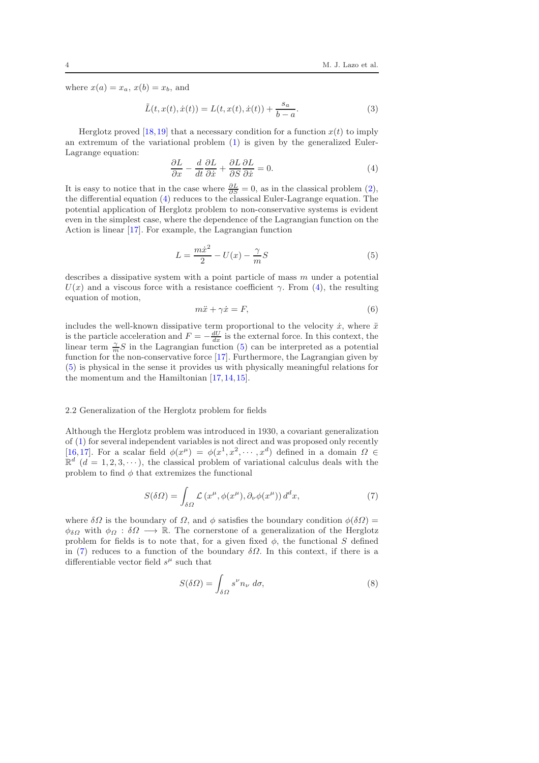where  $x(a) = x_a, x(b) = x_b$ , and

$$
\tilde{L}(t, x(t), \dot{x}(t)) = L(t, x(t), \dot{x}(t)) + \frac{s_a}{b - a}.
$$
\n(3)

Herglotz proved [\[18,](#page-15-17)[19\]](#page-16-0) that a necessary condition for a function  $x(t)$  to imply an extremum of the variational problem [\(1\)](#page-2-1) is given by the generalized Euler-Lagrange equation:

<span id="page-3-0"></span>
$$
\frac{\partial L}{\partial x} - \frac{d}{dt} \frac{\partial L}{\partial \dot{x}} + \frac{\partial L}{\partial S} \frac{\partial L}{\partial \dot{x}} = 0.
$$
 (4)

It is easy to notice that in the case where  $\frac{\partial L}{\partial S} = 0$ , as in the classical problem [\(2\)](#page-2-2), the differential equation [\(4\)](#page-3-0) reduces to the classical Euler-Lagrange equation. The potential application of Herglotz problem to non-conservative systems is evident even in the simplest case, where the dependence of the Lagrangian function on the Action is linear [\[17\]](#page-15-16). For example, the Lagrangian function

<span id="page-3-1"></span>
$$
L = \frac{m\dot{x}^2}{2} - U(x) - \frac{\gamma}{m}S\tag{5}
$$

describes a dissipative system with a point particle of mass  $m$  under a potential  $U(x)$  and a viscous force with a resistance coefficient  $\gamma$ . From [\(4\)](#page-3-0), the resulting equation of motion,

$$
m\ddot{x} + \gamma \dot{x} = F,\tag{6}
$$

includes the well-known dissipative term proportional to the velocity  $\dot{x}$ , where  $\ddot{x}$ is the particle acceleration and  $F = -\frac{dU}{dx}$  is the external force. In this context, the linear term  $\frac{\gamma}{m}S$  in the Lagrangian function [\(5\)](#page-3-1) can be interpreted as a potential function for the non-conservative force [\[17\]](#page-15-16). Furthermore, the Lagrangian given by [\(5\)](#page-3-1) is physical in the sense it provides us with physically meaningful relations for the momentum and the Hamiltonian [\[17,](#page-15-16)[14,](#page-15-13)[15\]](#page-15-14).

# 2.2 Generalization of the Herglotz problem for fields

Although the Herglotz problem was introduced in 1930, a covariant generalization of [\(1\)](#page-2-1) for several independent variables is not direct and was proposed only recently [\[16,](#page-15-15)[17\]](#page-15-16). For a scalar field  $\phi(x^{\mu}) = \phi(x^{1}, x^{2}, \dots, x^{d})$  defined in a domain  $\Omega \in$  $\mathbb{R}^d$  (d = 1, 2, 3,  $\cdots$ ), the classical problem of variational calculus deals with the problem to find  $\phi$  that extremizes the functional

<span id="page-3-2"></span>
$$
S(\delta\Omega) = \int_{\delta\Omega} \mathcal{L}\left(x^{\mu}, \phi(x^{\mu}), \partial_{\nu}\phi(x^{\mu})\right) d^{d}x,\tag{7}
$$

where  $\delta\Omega$  is the boundary of  $\Omega$ , and  $\phi$  satisfies the boundary condition  $\phi(\delta\Omega)$  =  $\phi_{\delta\Omega}$  with  $\phi_{\Omega} : \delta\Omega \longrightarrow \mathbb{R}$ . The cornerstone of a generalization of the Herglotz problem for fields is to note that, for a given fixed  $\phi$ , the functional S defined in [\(7\)](#page-3-2) reduces to a function of the boundary  $\delta\Omega$ . In this context, if there is a differentiable vector field  $s^{\mu}$  such that

$$
S(\delta \Omega) = \int_{\delta \Omega} s^{\nu} n_{\nu} \, d\sigma,\tag{8}
$$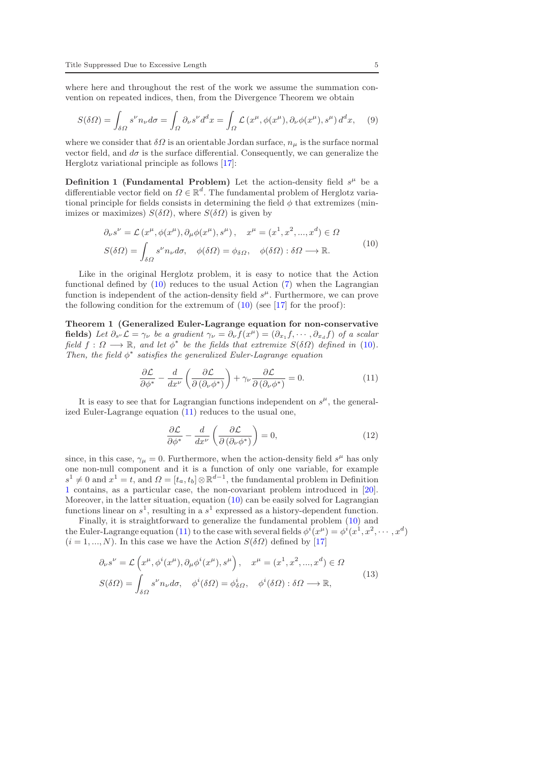where here and throughout the rest of the work we assume the summation convention on repeated indices, then, from the Divergence Theorem we obtain

$$
S(\delta\Omega) = \int_{\delta\Omega} s^{\nu} n_{\nu} d\sigma = \int_{\Omega} \partial_{\nu} s^{\nu} d^{d}x = \int_{\Omega} \mathcal{L} \left( x^{\mu}, \phi(x^{\mu}), \partial_{\nu} \phi(x^{\mu}), s^{\mu} \right) d^{d}x, \tag{9}
$$

where we consider that  $\delta\Omega$  is an orientable Jordan surface,  $n_{\mu}$  is the surface normal vector field, and  $d\sigma$  is the surface differential. Consequently, we can generalize the Herglotz variational principle as follows [\[17\]](#page-15-16):

<span id="page-4-2"></span>**Definition 1 (Fundamental Problem)** Let the action-density field  $s^{\mu}$  be a differentiable vector field on  $\Omega \in \mathbb{R}^d$ . The fundamental problem of Herglotz variational principle for fields consists in determining the field  $\phi$  that extremizes (minimizes or maximizes)  $S(\delta\Omega)$ , where  $S(\delta\Omega)$  is given by

$$
\partial_{\nu}s^{\nu} = \mathcal{L}(x^{\mu}, \phi(x^{\mu}), \partial_{\mu}\phi(x^{\mu}), s^{\mu}), \quad x^{\mu} = (x^{1}, x^{2}, ..., x^{d}) \in \Omega
$$
  

$$
S(\delta\Omega) = \int_{\delta\Omega} s^{\nu} n_{\nu} d\sigma, \quad \phi(\delta\Omega) = \phi_{\delta\Omega}, \quad \phi(\delta\Omega) : \delta\Omega \longrightarrow \mathbb{R}.
$$
 (10)

<span id="page-4-0"></span>Like in the original Herglotz problem, it is easy to notice that the Action functional defined by  $(10)$  reduces to the usual Action  $(7)$  when the Lagrangian function is independent of the action-density field  $s^{\mu}$ . Furthermore, we can prove the following condition for the extremum of  $(10)$  (see [\[17\]](#page-15-16) for the proof):

<span id="page-4-4"></span>Theorem 1 (Generalized Euler-Lagrange equation for non-conservative fields) Let  $\partial_{s'} \mathcal{L} = \gamma_{\nu}$  be a gradient  $\gamma_{\nu} = \partial_{\nu} f(x^{\mu}) = (\partial_{x_1} f, \cdots, \partial_{x_d} f)$  of a scalar field  $f: \Omega \longrightarrow \mathbb{R}$ , and let  $\phi^*$  be the fields that extremize  $S(\delta \Omega)$  defined in [\(10\)](#page-4-0). Then, the field  $\phi^*$  satisfies the generalized Euler-Lagrange equation

<span id="page-4-1"></span>
$$
\frac{\partial \mathcal{L}}{\partial \phi^*} - \frac{d}{dx^{\nu}} \left( \frac{\partial \mathcal{L}}{\partial (\partial_{\nu} \phi^*)} \right) + \gamma_{\nu} \frac{\partial \mathcal{L}}{\partial (\partial_{\nu} \phi^*)} = 0.
$$
 (11)

It is easy to see that for Lagrangian functions independent on  $s^{\mu}$ , the generalized Euler-Lagrange equation [\(11\)](#page-4-1) reduces to the usual one,

$$
\frac{\partial \mathcal{L}}{\partial \phi^*} - \frac{d}{dx^{\nu}} \left( \frac{\partial \mathcal{L}}{\partial (\partial_{\nu} \phi^*)} \right) = 0, \tag{12}
$$

since, in this case,  $\gamma_{\mu} = 0$ . Furthermore, when the action-density field  $s^{\mu}$  has only one non-null component and it is a function of only one variable, for example  $s^1 \neq 0$  and  $x^1 = t$ , and  $\Omega = [t_a, t_b] \otimes \mathbb{R}^{d-1}$ , the fundamental problem in Definition [1](#page-4-2) contains, as a particular case, the non-covariant problem introduced in [\[20\]](#page-16-1). Moreover, in the latter situation, equation [\(10\)](#page-4-0) can be easily solved for Lagrangian functions linear on  $s^1$ , resulting in a  $s^1$  expressed as a history-dependent function.

Finally, it is straightforward to generalize the fundamental problem [\(10\)](#page-4-0) and the Euler-Lagrange equation [\(11\)](#page-4-1) to the case with several fields  $\phi^i(x^\mu) = \phi^i(x^1, x^2, \dots, x^d)$  $(i = 1, ..., N)$ . In this case we have the Action  $S(\delta \Omega)$  defined by [\[17\]](#page-15-16)

<span id="page-4-3"></span>
$$
\partial_{\nu}s^{\nu} = \mathcal{L}\left(x^{\mu}, \phi^{i}(x^{\mu}), \partial_{\mu}\phi^{i}(x^{\mu}), s^{\mu}\right), \quad x^{\mu} = (x^{1}, x^{2}, ..., x^{d}) \in \Omega
$$
  

$$
S(\delta\Omega) = \int_{\delta\Omega} s^{\nu}n_{\nu}d\sigma, \quad \phi^{i}(\delta\Omega) = \phi^{i}_{\delta\Omega}, \quad \phi^{i}(\delta\Omega) : \delta\Omega \longrightarrow \mathbb{R},
$$
 (13)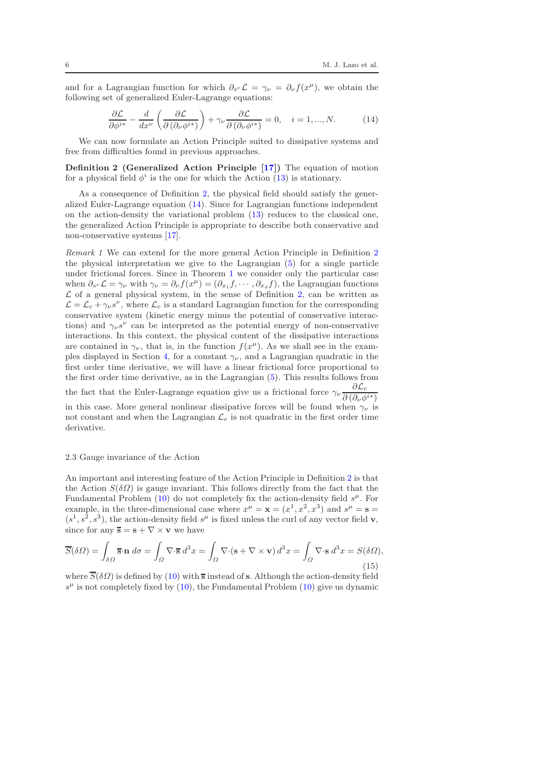and for a Lagrangian function for which  $\partial_{s^{\nu}} \mathcal{L} = \gamma_{\nu} = \partial_{\nu} f(x^{\mu})$ , we obtain the following set of generalized Euler-Lagrange equations:

<span id="page-5-1"></span><span id="page-5-0"></span>
$$
\frac{\partial \mathcal{L}}{\partial \phi^{i*}} - \frac{d}{dx^{\nu}} \left( \frac{\partial \mathcal{L}}{\partial (\partial_{\nu} \phi^{i*})} \right) + \gamma_{\nu} \frac{\partial \mathcal{L}}{\partial (\partial_{\nu} \phi^{i*})} = 0, \quad i = 1, ..., N. \tag{14}
$$

We can now formulate an Action Principle suited to dissipative systems and free from difficulties found in previous approaches.

Definition 2 (Generalized Action Principle [\[17\]](#page-15-16)) The equation of motion for a physical field  $\phi^i$  is the one for which the Action [\(13\)](#page-4-3) is stationary.

As a consequence of Definition [2,](#page-5-0) the physical field should satisfy the generalized Euler-Lagrange equation [\(14\)](#page-5-1). Since for Lagrangian functions independent on the action-density the variational problem [\(13\)](#page-4-3) reduces to the classical one, the generalized Action Principle is appropriate to describe both conservative and non-conservative systems [\[17\]](#page-15-16).

Remark 1 We can extend for the more general Action Principle in Definition [2](#page-5-0) the physical interpretation we give to the Lagrangian [\(5\)](#page-3-1) for a single particle under frictional forces. Since in Theorem [1](#page-4-4) we consider only the particular case when  $\partial_{s'} \mathcal{L} = \gamma_{\nu}$  with  $\gamma_{\nu} = \partial_{\nu} f(x^{\mu}) = (\partial_{x_1} f, \cdots, \partial_{x_d} f)$ , the Lagrangian functions  $\mathcal L$  of a general physical system, in the sense of Definition [2,](#page-5-0) can be written as  $\mathcal{L} = \mathcal{L}_c + \gamma_\nu s^\nu$ , where  $\mathcal{L}_c$  is a standard Lagrangian function for the corresponding conservative system (kinetic energy minus the potential of conservative interactions) and  $\gamma_{\nu} s^{\nu}$  can be interpreted as the potential energy of non-conservative interactions. In this context, the physical content of the dissipative interactions are contained in  $\gamma_{\nu}$ , that is, in the function  $f(x^{\mu})$ . As we shall see in the exam-ples displayed in Section [4,](#page-11-0) for a constant  $\gamma_{\nu}$ , and a Lagrangian quadratic in the first order time derivative, we will have a linear frictional force proportional to the first order time derivative, as in the Lagrangian [\(5\)](#page-3-1). This results follows from the fact that the Euler-Lagrange equation give us a frictional force  $\gamma_{\nu} \frac{\partial \mathcal{L}_{c}}{\partial (\partial z)^{1}}$  $\overline{\partial\left(\partial_{\nu}\phi^{i*}\right)}$ in this case. More general nonlinear dissipative forces will be found when  $\gamma_{\nu}$  is not constant and when the Lagrangian  $\mathcal{L}_c$  is not quadratic in the first order time

### 2.3 Gauge invariance of the Action

derivative.

An important and interesting feature of the Action Principle in Definition [2](#page-5-0) is that the Action  $S(\delta\Omega)$  is gauge invariant. This follows directly from the fact that the Fundamental Problem  $(10)$  do not completely fix the action-density field  $s^{\mu}$ . For example, in the three-dimensional case where  $x^{\mu} = \mathbf{x} = (x^1, x^2, x^3)$  and  $s^{\mu} = \mathbf{s} =$  $(s<sup>1</sup>, s<sup>2</sup>, s<sup>3</sup>)$ , the action-density field  $s<sup>\mu</sup>$  is fixed unless the curl of any vector field **v**, since for any  $\overline{s} = s + \nabla \times \mathbf{v}$  we have

$$
\overline{S}(\delta\Omega) = \int_{\delta\Omega} \overline{\mathbf{s}} \cdot \mathbf{n} \, d\sigma = \int_{\Omega} \nabla \cdot \overline{\mathbf{s}} \, d^3x = \int_{\Omega} \nabla \cdot (\mathbf{s} + \nabla \times \mathbf{v}) \, d^3x = \int_{\Omega} \nabla \cdot \mathbf{s} \, d^3x = S(\delta\Omega),
$$
\n(15)

where  $\overline{S}(\delta\Omega)$  is defined by [\(10\)](#page-4-0) with  $\overline{s}$  instead of s. Although the action-density field  $s^{\mu}$  is not completely fixed by [\(10\)](#page-4-0), the Fundamental Problem (10) give us dynamic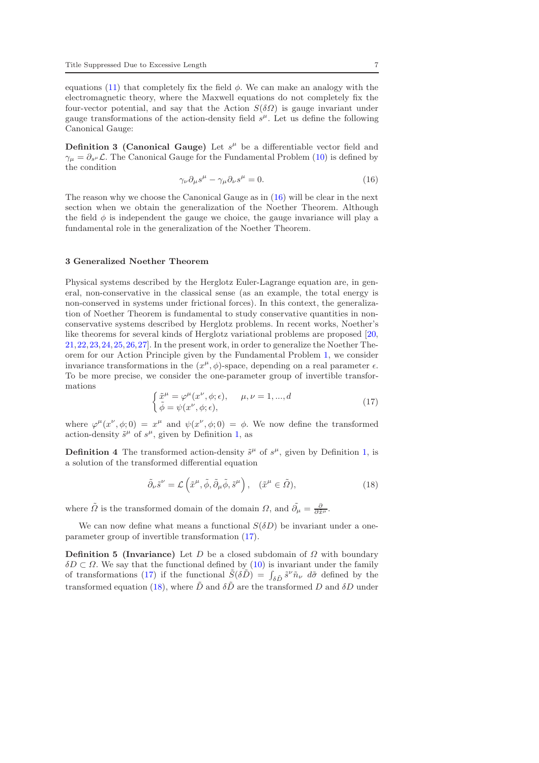equations [\(11\)](#page-4-1) that completely fix the field  $\phi$ . We can make an analogy with the electromagnetic theory, where the Maxwell equations do not completely fix the four-vector potential, and say that the Action  $S(\delta\Omega)$  is gauge invariant under gauge transformations of the action-density field  $s^{\mu}$ . Let us define the following Canonical Gauge:

**Definition 3 (Canonical Gauge)** Let  $s^{\mu}$  be a differentiable vector field and  $\gamma_{\mu} = \partial_{s^{\mu}} \mathcal{L}$ . The Canonical Gauge for the Fundamental Problem [\(10\)](#page-4-0) is defined by the condition

<span id="page-6-1"></span>
$$
\gamma_{\nu}\partial_{\mu}s^{\mu} - \gamma_{\mu}\partial_{\nu}s^{\mu} = 0. \tag{16}
$$

The reason why we choose the Canonical Gauge as in [\(16\)](#page-6-1) will be clear in the next section when we obtain the generalization of the Noether Theorem. Although the field  $\phi$  is independent the gauge we choice, the gauge invariance will play a fundamental role in the generalization of the Noether Theorem.

## <span id="page-6-0"></span>3 Generalized Noether Theorem

Physical systems described by the Herglotz Euler-Lagrange equation are, in general, non-conservative in the classical sense (as an example, the total energy is non-conserved in systems under frictional forces). In this context, the generalization of Noether Theorem is fundamental to study conservative quantities in nonconservative systems described by Herglotz problems. In recent works, Noether's like theorems for several kinds of Herglotz variational problems are proposed [\[20,](#page-16-1) [21,](#page-16-2)[22,](#page-16-3)[23,](#page-16-4)[24,](#page-16-5)[25,](#page-16-6)[26,](#page-16-7)[27\]](#page-16-8). In the present work, in order to generalize the Noether Theorem for our Action Principle given by the Fundamental Problem [1,](#page-4-2) we consider invariance transformations in the  $(x^{\mu}, \phi)$ -space, depending on a real parameter  $\epsilon$ . To be more precise, we consider the one-parameter group of invertible transformations

<span id="page-6-2"></span>
$$
\begin{cases} \tilde{x}^{\mu} = \varphi^{\mu}(x^{\nu}, \phi; \epsilon), & \mu, \nu = 1, ..., d \\ \tilde{\phi} = \psi(x^{\nu}, \phi; \epsilon), \end{cases}
$$
\n(17)

where  $\varphi^{\mu}(x^{\nu}, \phi; 0) = x^{\mu}$  and  $\psi(x^{\nu}, \phi; 0) = \phi$ . We now define the transformed action-density  $\tilde{s}^{\mu}$  of  $s^{\mu}$ , given by Definition [1,](#page-4-2) as

**Definition 4** The transformed action-density  $\tilde{s}^{\mu}$  of  $s^{\mu}$ , given by Definition [1,](#page-4-2) is a solution of the transformed differential equation

<span id="page-6-4"></span><span id="page-6-3"></span>
$$
\tilde{\partial}_{\nu}\tilde{s}^{\nu} = \mathcal{L}\left(\tilde{x}^{\mu}, \tilde{\phi}, \tilde{\partial}_{\mu}\tilde{\phi}, \tilde{s}^{\mu}\right), \quad (\tilde{x}^{\mu} \in \tilde{\Omega}), \tag{18}
$$

where  $\tilde{\Omega}$  is the transformed domain of the domain  $\Omega$ , and  $\tilde{\partial}_{\mu} = \frac{\partial}{\partial \tilde{x}^{\mu}}$ .

We can now define what means a functional  $S(\delta D)$  be invariant under a oneparameter group of invertible transformation [\(17\)](#page-6-2).

**Definition 5 (Invariance)** Let D be a closed subdomain of  $\Omega$  with boundary  $\delta D \subset \Omega$ . We say that the functional defined by [\(10\)](#page-4-0) is invariant under the family of transformations [\(17\)](#page-6-2) if the functional  $\tilde{S}(\delta \tilde{D}) = \int_{\delta \tilde{D}} \tilde{s}^{\nu} \tilde{n}_{\nu} d\tilde{\sigma}$  defined by the transformed equation [\(18\)](#page-6-3), where  $\tilde{D}$  and  $\delta\tilde{D}$  are the transformed D and  $\delta D$  under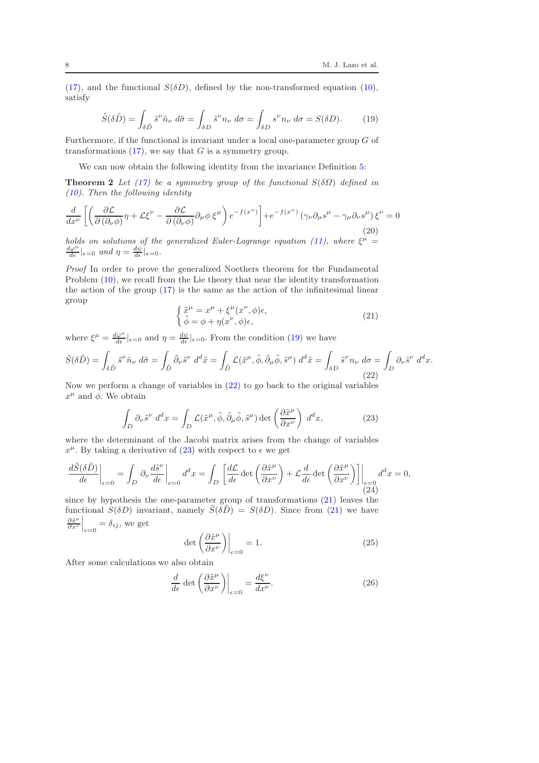[\(17\)](#page-6-2), and the functional  $S(\delta D)$ , defined by the non-transformed equation [\(10\)](#page-4-0), satisfy

<span id="page-7-0"></span>
$$
\tilde{S}(\delta \tilde{D}) = \int_{\delta \tilde{D}} \tilde{s}^{\nu} \tilde{n}_{\nu} d\tilde{\sigma} = \int_{\delta D} \tilde{s}^{\nu} n_{\nu} d\sigma = \int_{\delta D} s^{\nu} n_{\nu} d\sigma = S(\delta D). \tag{19}
$$

Furthermore, if the functional is invariant under a local one-parameter group G of transformations  $(17)$ , we say that G is a symmetry group.

We can now obtain the following identity from the invariance Definition [5:](#page-6-4)

**Theorem 2** Let [\(17\)](#page-6-2) be a symmetry group of the functional  $S(\delta\Omega)$  defined in [\(10\)](#page-4-0). Then the following identity

<span id="page-7-7"></span>
$$
\frac{d}{dx^{\nu}}\left[\left(\frac{\partial \mathcal{L}}{\partial\left(\partial_{\nu}\phi\right)}\eta + \mathcal{L}\xi^{\nu} - \frac{\partial \mathcal{L}}{\partial\left(\partial_{\nu}\phi\right)}\partial_{\mu}\phi \xi^{\mu}\right)e^{-f(x^{\alpha})}\right] + e^{-f(x^{\alpha})}\left(\gamma_{\nu}\partial_{\mu}s^{\mu} - \gamma_{\mu}\partial_{\nu}s^{\mu}\right)\xi^{\nu} = 0
$$
\n(20)

holds on solutions of the generalized Euler-Lagrange equation [\(11\)](#page-4-1), where  $\xi^{\mu} =$  $\frac{d\varphi^{\mu}}{d\epsilon}|_{\epsilon=0}$  and  $\eta=\frac{d\psi}{d\epsilon}|_{\epsilon=0}$ .

Proof In order to prove the generalized Noethers theorem for the Fundamental Problem  $(10)$ , we recall from the Lie theory that near the identity transformation the action of the group  $(17)$  is the same as the action of the infinitesimal linear group

<span id="page-7-8"></span><span id="page-7-3"></span>
$$
\begin{cases} \tilde{x}^{\mu} = x^{\mu} + \xi^{\mu}(x^{\nu}, \phi)\epsilon, \\ \tilde{\phi} = \phi + \eta(x^{\nu}, \phi)\epsilon, \end{cases}
$$
 (21)

where  $\xi^{\mu} = \frac{d\varphi^{\mu}}{d\epsilon}|_{\epsilon=0}$  and  $\eta = \frac{d\psi}{d\epsilon}|_{\epsilon=0}$ . From the condition [\(19\)](#page-7-0) we have

<span id="page-7-1"></span>
$$
\tilde{S}(\delta \tilde{D}) = \int_{\delta \tilde{D}} \tilde{s}^{\nu} \tilde{n}_{\nu} d\tilde{\sigma} = \int_{\tilde{D}} \tilde{\partial}_{\nu} \tilde{s}^{\nu} d^{d} \tilde{x} = \int_{\tilde{D}} \mathcal{L}(\tilde{x}^{\mu}, \tilde{\phi}, \tilde{\partial}_{\mu} \tilde{\phi}, \tilde{s}^{\mu}) d^{d} \tilde{x} = \int_{\delta D} \tilde{s}^{\nu} n_{\nu} d\sigma = \int_{D} \partial_{\nu} \tilde{s}^{\nu} d^{d} x.
$$
\n(22)

Now we perform a change of variables in [\(22\)](#page-7-1) to go back to the original variables  $x^{\mu}$  and  $\phi$ . We obtain

<span id="page-7-2"></span>
$$
\int_{D} \partial_{\nu} \tilde{s}^{\nu} d^{d}x = \int_{D} \mathcal{L}(\tilde{x}^{\mu}, \tilde{\phi}, \tilde{\partial}_{\mu} \tilde{\phi}, \tilde{s}^{\mu}) \det \left( \frac{\partial \tilde{x}^{\mu}}{\partial x^{\nu}} \right) d^{d}x, \tag{23}
$$

where the determinant of the Jacobi matrix arises from the change of variables  $x^{\mu}$ . By taking a derivative of [\(23\)](#page-7-2) with respect to  $\epsilon$  we get

<span id="page-7-6"></span>
$$
\frac{d\tilde{S}(\delta\tilde{D})}{d\epsilon}\bigg|_{\epsilon=0} = \int_D \partial_\nu \frac{d\tilde{s}^\nu}{d\epsilon}\bigg|_{\epsilon=0} d^d x = \int_D \left[\frac{d\mathcal{L}}{d\epsilon} \det\left(\frac{\partial \tilde{x}^\mu}{\partial x^\nu}\right) + \mathcal{L}\frac{d}{d\epsilon} \det\left(\frac{\partial \tilde{x}^\mu}{\partial x^\nu}\right)\right]\bigg|_{\epsilon=0} d^d x = 0,
$$
\n(24)

since by hypothesis the one-parameter group of transformations [\(21\)](#page-7-3) leaves the functional  $S(\delta D)$  invariant, namely  $\tilde{S}(\delta \tilde{D}) = S(\delta D)$ . Since from [\(21\)](#page-7-3) we have  $\partial \tilde{x}^{\mu}$  $\left.\frac{\partial \tilde{x}^{\mu}}{\partial x^{\nu}}\right|_{\epsilon=0} = \delta_{ij}$ , we get

<span id="page-7-4"></span>
$$
\det\left(\frac{\partial \tilde{x}^{\mu}}{\partial x^{\nu}}\right)\Big|_{\epsilon=0} = 1. \tag{25}
$$

After some calculations we also obtain

<span id="page-7-5"></span>
$$
\frac{d}{d\epsilon} \det \left( \frac{\partial \tilde{x}^{\mu}}{\partial x^{\nu}} \right) \Big|_{\epsilon=0} = \frac{d\xi^{\nu}}{dx^{\nu}}.
$$
\n(26)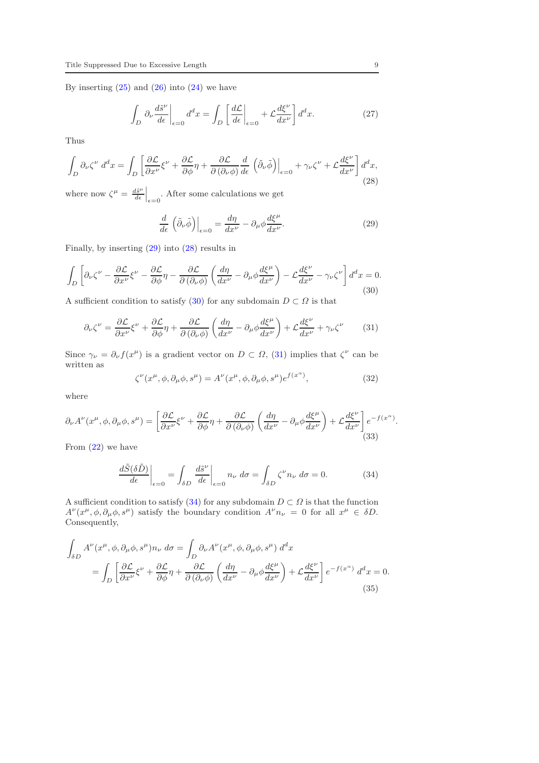By inserting  $(25)$  and  $(26)$  into  $(24)$  we have

$$
\int_{D} \partial_{\nu} \frac{d\tilde{s}^{\nu}}{d\epsilon} \bigg|_{\epsilon=0} d^{d}x = \int_{D} \left[ \frac{d\mathcal{L}}{d\epsilon} \bigg|_{\epsilon=0} + \mathcal{L} \frac{d\xi^{\nu}}{dx^{\nu}} \right] d^{d}x. \tag{27}
$$

Thus

<span id="page-8-1"></span>
$$
\int_{D} \partial_{\nu} \zeta^{\nu} d^{d}x = \int_{D} \left[ \frac{\partial \mathcal{L}}{\partial x^{\nu}} \xi^{\nu} + \frac{\partial \mathcal{L}}{\partial \phi} \eta + \frac{\partial \mathcal{L}}{\partial (\partial_{\nu} \phi)} \frac{d}{d\epsilon} \left( \tilde{\partial}_{\nu} \tilde{\phi} \right) \Big|_{\epsilon=0} + \gamma_{\nu} \zeta^{\nu} + \mathcal{L} \frac{d\xi^{\nu}}{dx^{\nu}} \right] d^{d}x, \tag{28}
$$

where now  $\zeta^{\mu} = \frac{d\tilde{s}^{\mu}}{d\epsilon}$  $\frac{d\tilde{s}^{\mu}}{d\epsilon}|_{\epsilon=0}$ . After some calculations we get

<span id="page-8-0"></span>
$$
\frac{d}{d\epsilon} \left( \tilde{\partial}_{\nu} \tilde{\phi} \right) \Big|_{\epsilon=0} = \frac{d\eta}{dx^{\nu}} - \partial_{\mu} \phi \frac{d\xi^{\mu}}{dx^{\nu}}.
$$
\n(29)

Finally, by inserting [\(29\)](#page-8-0) into [\(28\)](#page-8-1) results in

<span id="page-8-2"></span>
$$
\int_{D} \left[ \partial_{\nu} \zeta^{\nu} - \frac{\partial \mathcal{L}}{\partial x^{\nu}} \xi^{\nu} - \frac{\partial \mathcal{L}}{\partial \phi} \eta - \frac{\partial \mathcal{L}}{\partial (\partial_{\nu} \phi)} \left( \frac{d\eta}{dx^{\nu}} - \partial_{\mu} \phi \frac{d\xi^{\mu}}{dx^{\nu}} \right) - \mathcal{L} \frac{d\xi^{\nu}}{dx^{\nu}} - \gamma_{\nu} \zeta^{\nu} \right] d^{d}x = 0. \tag{30}
$$

A sufficient condition to satisfy [\(30\)](#page-8-2) for any subdomain  $D \subset \Omega$  is that

<span id="page-8-3"></span>
$$
\partial_{\nu}\zeta^{\nu} = \frac{\partial \mathcal{L}}{\partial x^{\nu}}\xi^{\nu} + \frac{\partial \mathcal{L}}{\partial \phi}\eta + \frac{\partial \mathcal{L}}{\partial(\partial_{\nu}\phi)}\left(\frac{d\eta}{dx^{\nu}} - \partial_{\mu}\phi \frac{d\xi^{\mu}}{dx^{\nu}}\right) + \mathcal{L}\frac{d\xi^{\nu}}{dx^{\nu}} + \gamma_{\nu}\zeta^{\nu} \tag{31}
$$

Since  $\gamma_{\nu} = \partial_{\nu} f(x^{\mu})$  is a gradient vector on  $D \subset \Omega$ , [\(31\)](#page-8-3) implies that  $\zeta^{\nu}$  can be written as

$$
\zeta^{\nu}(x^{\mu}, \phi, \partial_{\mu}\phi, s^{\mu}) = A^{\nu}(x^{\mu}, \phi, \partial_{\mu}\phi, s^{\mu})e^{f(x^{\alpha})}, \qquad (32)
$$

where

$$
\partial_{\nu}A^{\nu}(x^{\mu},\phi,\partial_{\mu}\phi,s^{\mu}) = \left[\frac{\partial \mathcal{L}}{\partial x^{\nu}}\xi^{\nu} + \frac{\partial \mathcal{L}}{\partial \phi}\eta + \frac{\partial \mathcal{L}}{\partial(\partial_{\nu}\phi)}\left(\frac{d\eta}{dx^{\nu}} - \partial_{\mu}\phi\frac{d\xi^{\mu}}{dx^{\nu}}\right) + \mathcal{L}\frac{d\xi^{\nu}}{dx^{\nu}}\right]e^{-f(x^{\alpha})}.
$$
\n(33)

From  $(22)$  we have

<span id="page-8-4"></span>
$$
\frac{d\tilde{S}(\delta\tilde{D})}{d\epsilon}\bigg|_{\epsilon=0} = \int_{\delta D} \frac{d\tilde{s}^{\nu}}{d\epsilon}\bigg|_{\epsilon=0} n_{\nu} d\sigma = \int_{\delta D} \zeta^{\nu} n_{\nu} d\sigma = 0.
$$
 (34)

A sufficient condition to satisfy [\(34\)](#page-8-4) for any subdomain  $D \subset \Omega$  is that the function  $A^{\nu}(x^{\mu}, \phi, \partial_{\mu}\phi, s^{\mu})$  satisfy the boundary condition  $A^{\nu}n_{\nu} = 0$  for all  $x^{\mu} \in \delta D$ . Consequently,

<span id="page-8-5"></span>
$$
\int_{\delta D} A^{\nu}(x^{\mu}, \phi, \partial_{\mu}\phi, s^{\mu}) n_{\nu} d\sigma = \int_{D} \partial_{\nu} A^{\nu}(x^{\mu}, \phi, \partial_{\mu}\phi, s^{\mu}) d^{d}x \n= \int_{D} \left[ \frac{\partial \mathcal{L}}{\partial x^{\nu}} \xi^{\nu} + \frac{\partial \mathcal{L}}{\partial \phi} \eta + \frac{\partial \mathcal{L}}{\partial (\partial_{\nu}\phi)} \left( \frac{d\eta}{dx^{\nu}} - \partial_{\mu}\phi \frac{d\xi^{\mu}}{dx^{\nu}} \right) + \mathcal{L} \frac{d\xi^{\nu}}{dx^{\nu}} \right] e^{-f(x^{\alpha})} d^{d}x = 0.
$$
\n(35)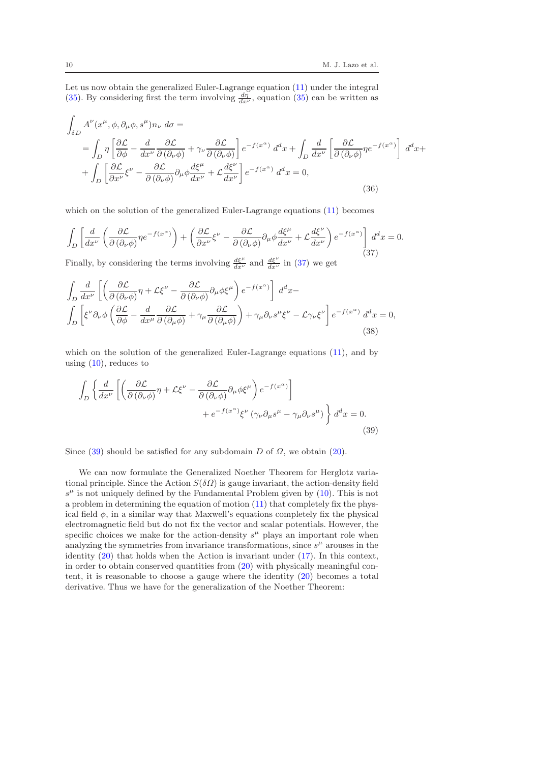Let us now obtain the generalized Euler-Lagrange equation [\(11\)](#page-4-1) under the integral [\(35\)](#page-8-5). By considering first the term involving  $\frac{d\eta}{dx^{\nu}}$ , equation [\(35\)](#page-8-5) can be written as

$$
\int_{\delta D} A^{\nu}(x^{\mu}, \phi, \partial_{\mu}\phi, s^{\mu})n_{\nu} d\sigma =
$$
\n
$$
= \int_{D} \eta \left[ \frac{\partial \mathcal{L}}{\partial \phi} - \frac{d}{dx^{\nu}} \frac{\partial \mathcal{L}}{\partial(\partial_{\nu}\phi)} + \gamma_{\nu} \frac{\partial \mathcal{L}}{\partial(\partial_{\nu}\phi)} \right] e^{-f(x^{\alpha})} d^{d}x + \int_{D} \frac{d}{dx^{\nu}} \left[ \frac{\partial \mathcal{L}}{\partial(\partial_{\nu}\phi)} \eta e^{-f(x^{\alpha})} \right] d^{d}x +
$$
\n
$$
+ \int_{D} \left[ \frac{\partial \mathcal{L}}{\partial x^{\nu}} \xi^{\nu} - \frac{\partial \mathcal{L}}{\partial(\partial_{\nu}\phi)} \partial_{\mu}\phi \frac{d\xi^{\mu}}{dx^{\nu}} + \mathcal{L} \frac{d\xi^{\nu}}{dx^{\nu}} \right] e^{-f(x^{\alpha})} d^{d}x = 0,
$$
\n(36)

which on the solution of the generalized Euler-Lagrange equations [\(11\)](#page-4-1) becomes

<span id="page-9-0"></span>
$$
\int_{D} \left[ \frac{d}{dx^{\nu}} \left( \frac{\partial \mathcal{L}}{\partial (\partial_{\nu} \phi)} \eta e^{-f(x^{\alpha})} \right) + \left( \frac{\partial \mathcal{L}}{\partial x^{\nu}} \xi^{\nu} - \frac{\partial \mathcal{L}}{\partial (\partial_{\nu} \phi)} \partial_{\mu} \phi \frac{d\xi^{\mu}}{dx^{\nu}} + \mathcal{L} \frac{d\xi^{\nu}}{dx^{\nu}} \right) e^{-f(x^{\alpha})} \right] d^{d}x = 0.
$$
\n(37)

Finally, by considering the terms involving  $\frac{d\xi^{\mu}}{dx^{\nu}}$  and  $\frac{d\xi^{\nu}}{dx^{\nu}}$  in [\(37\)](#page-9-0) we get

$$
\int_{D} \frac{d}{dx^{\nu}} \left[ \left( \frac{\partial \mathcal{L}}{\partial (\partial_{\nu} \phi)} \eta + \mathcal{L} \xi^{\nu} - \frac{\partial \mathcal{L}}{\partial (\partial_{\nu} \phi)} \partial_{\mu} \phi \xi^{\mu} \right) e^{-f(x^{\alpha})} \right] d^{d}x -
$$
\n
$$
\int_{D} \left[ \xi^{\nu} \partial_{\nu} \phi \left( \frac{\partial \mathcal{L}}{\partial \phi} - \frac{d}{dx^{\mu}} \frac{\partial \mathcal{L}}{\partial (\partial_{\mu} \phi)} + \gamma_{\mu} \frac{\partial \mathcal{L}}{\partial (\partial_{\mu} \phi)} \right) + \gamma_{\mu} \partial_{\nu} s^{\mu} \xi^{\nu} - \mathcal{L} \gamma_{\nu} \xi^{\nu} \right] e^{-f(x^{\alpha})} d^{d}x = 0,
$$
\n(38)

which on the solution of the generalized Euler-Lagrange equations  $(11)$ , and by using  $(10)$ , reduces to

<span id="page-9-1"></span>
$$
\int_{D} \left\{ \frac{d}{dx^{\nu}} \left[ \left( \frac{\partial \mathcal{L}}{\partial (\partial_{\nu} \phi)} \eta + \mathcal{L} \xi^{\nu} - \frac{\partial \mathcal{L}}{\partial (\partial_{\nu} \phi)} \partial_{\mu} \phi \xi^{\mu} \right) e^{-f(x^{\alpha})} \right] + e^{-f(x^{\alpha})} \xi^{\nu} \left( \gamma_{\nu} \partial_{\mu} s^{\mu} - \gamma_{\mu} \partial_{\nu} s^{\mu} \right) \right\} d^{d}x = 0.
$$
\n(39)

Since  $(39)$  should be satisfied for any subdomain D of  $\Omega$ , we obtain  $(20)$ .

<span id="page-9-2"></span>We can now formulate the Generalized Noether Theorem for Herglotz variational principle. Since the Action  $S(\delta \Omega)$  is gauge invariant, the action-density field  $s^{\mu}$  is not uniquely defined by the Fundamental Problem given by [\(10\)](#page-4-0). This is not a problem in determining the equation of motion [\(11\)](#page-4-1) that completely fix the physical field  $\phi$ , in a similar way that Maxwell's equations completely fix the physical electromagnetic field but do not fix the vector and scalar potentials. However, the specific choices we make for the action-density  $s^{\mu}$  plays an important role when analyzing the symmetries from invariance transformations, since  $s^{\mu}$  arouses in the identity [\(20\)](#page-7-7) that holds when the Action is invariant under [\(17\)](#page-6-2). In this context, in order to obtain conserved quantities from [\(20\)](#page-7-7) with physically meaningful content, it is reasonable to choose a gauge where the identity [\(20\)](#page-7-7) becomes a total derivative. Thus we have for the generalization of the Noether Theorem: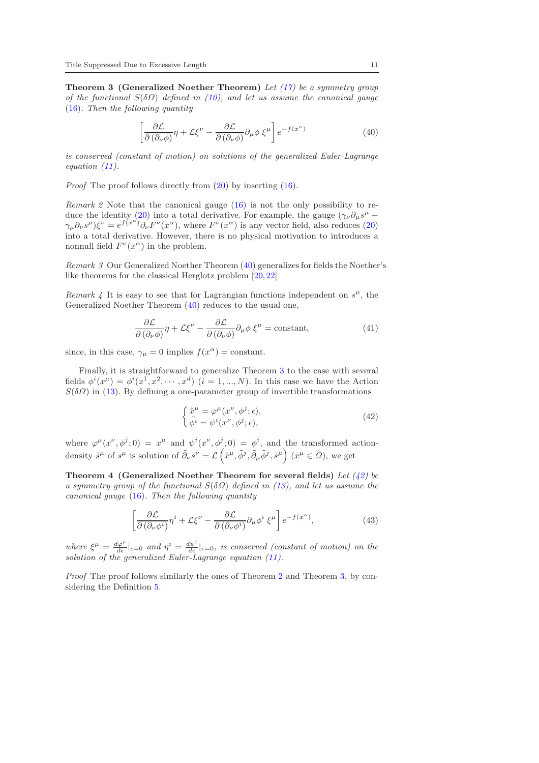**Theorem 3 (Generalized Noether Theorem)** Let  $(17)$  be a symmetry group of the functional  $S(\delta\Omega)$  defined in [\(10\)](#page-4-0), and let us assume the canonical gauge [\(16\)](#page-6-1). Then the following quantity

<span id="page-10-0"></span>
$$
\left[\frac{\partial \mathcal{L}}{\partial (\partial_{\nu}\phi)}\eta + \mathcal{L}\xi^{\nu} - \frac{\partial \mathcal{L}}{\partial (\partial_{\nu}\phi)}\partial_{\mu}\phi \xi^{\mu}\right]e^{-f(x^{\alpha})}
$$
(40)

is conserved (constant of motion) on solutions of the generalized Euler-Lagrange equation [\(11\)](#page-4-1).

Proof The proof follows directly from [\(20\)](#page-7-7) by inserting [\(16\)](#page-6-1).

Remark 2 Note that the canonical gauge [\(16\)](#page-6-1) is not the only possibility to re-duce the identity [\(20\)](#page-7-7) into a total derivative. For example, the gauge  $(\gamma_{\nu}\partial_{\mu}s^{\mu} \gamma_{\mu}\partial_{\nu}s^{\mu}\rangle\xi^{\nu}=e^{f(x^{\alpha})}\partial_{\nu}F^{\nu}(x^{\alpha})$ , where  $F^{\nu}(x^{\alpha})$  is any vector field, also reduces [\(20\)](#page-7-7) into a total derivative. However, there is no physical motivation to introduces a nonnull field  $F^{\nu}(x^{\alpha})$  in the problem.

Remark 3 Our Generalized Noether Theorem [\(40\)](#page-10-0) generalizes for fields the Noether's like theorems for the classical Herglotz problem [\[20,](#page-16-1)[22\]](#page-16-3)

Remark 4 It is easy to see that for Lagrangian functions independent on  $s^{\mu}$ , the Generalized Noether Theorem [\(40\)](#page-10-0) reduces to the usual one,

$$
\frac{\partial \mathcal{L}}{\partial (\partial_{\nu} \phi)} \eta + \mathcal{L} \xi^{\nu} - \frac{\partial \mathcal{L}}{\partial (\partial_{\nu} \phi)} \partial_{\mu} \phi \xi^{\mu} = \text{constant},\tag{41}
$$

since, in this case,  $\gamma_{\mu} = 0$  implies  $f(x^{\alpha}) = \text{constant}$ .

Finally, it is straightforward to generalize Theorem [3](#page-9-2) to the case with several fields  $\phi^i(x^{\mu}) = \phi^i(x^1, x^2, \dots, x^d)$   $(i = 1, ..., N)$ . In this case we have the Action  $S(\delta\Omega)$  in [\(13\)](#page-4-3). By defining a one-parameter group of invertible transformations

<span id="page-10-3"></span><span id="page-10-1"></span>
$$
\begin{cases} \tilde{x}^{\mu} = \varphi^{\mu}(x^{\nu}, \phi^{j}; \epsilon), \\ \tilde{\phi}^{i} = \psi^{i}(x^{\nu}, \phi^{j}; \epsilon), \end{cases}
$$
\n(42)

where  $\varphi^{\mu}(x^{\nu},\phi^j;0) = x^{\mu}$  and  $\psi^i(x^{\nu},\phi^j;0) = \phi^i$ , and the transformed actiondensity  $\tilde{s}^{\mu}$  of  $s^{\mu}$  is solution of  $\tilde{\partial}_{\nu}\tilde{s}^{\nu} = \mathcal{L}(\tilde{x}^{\mu}, \tilde{\phi}^{j}, \tilde{\partial}_{\mu}\tilde{\phi}^{j}, \tilde{s}^{\mu})$   $(\tilde{x}^{\mu} \in \tilde{\Omega})$ , we get

Theorem 4 (Generalized Noether Theorem for several fields) Let  $(42)$  be a symmetry group of the functional  $S(\delta \Omega)$  defined in [\(13\)](#page-4-3), and let us assume the canonical gauge [\(16\)](#page-6-1). Then the following quantity

<span id="page-10-2"></span>
$$
\left[\frac{\partial \mathcal{L}}{\partial \left(\partial_{\nu}\phi^{i}\right)}\eta^{i} + \mathcal{L}\xi^{\nu} - \frac{\partial \mathcal{L}}{\partial \left(\partial_{\nu}\phi^{i}\right)}\partial_{\mu}\phi^{i}\xi^{\mu}\right]e^{-f(x^{\alpha})},\tag{43}
$$

where  $\xi^{\mu} = \frac{d\varphi^{\mu}}{d\epsilon}|_{\epsilon=0}$  and  $\eta^{i} = \frac{d\psi^{i}}{d\epsilon}|_{\epsilon=0}$ , is conserved (constant of motion) on the solution of the generalized Euler-Lagrange equation [\(11\)](#page-4-1).

Proof The proof follows similarly the ones of Theorem [2](#page-7-8) and Theorem [3,](#page-9-2) by considering the Definition [5.](#page-6-4)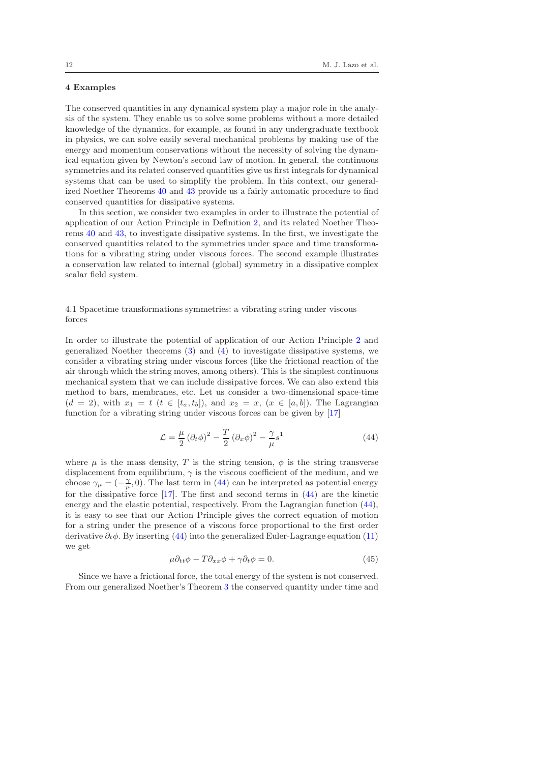## <span id="page-11-0"></span>4 Examples

The conserved quantities in any dynamical system play a major role in the analysis of the system. They enable us to solve some problems without a more detailed knowledge of the dynamics, for example, as found in any undergraduate textbook in physics, we can solve easily several mechanical problems by making use of the energy and momentum conservations without the necessity of solving the dynamical equation given by Newton's second law of motion. In general, the continuous symmetries and its related conserved quantities give us first integrals for dynamical systems that can be used to simplify the problem. In this context, our generalized Noether Theorems [40](#page-10-0) and [43](#page-10-2) provide us a fairly automatic procedure to find conserved quantities for dissipative systems.

In this section, we consider two examples in order to illustrate the potential of application of our Action Principle in Definition [2,](#page-5-0) and its related Noether Theorems [40](#page-10-0) and [43,](#page-10-2) to investigate dissipative systems. In the first, we investigate the conserved quantities related to the symmetries under space and time transformations for a vibrating string under viscous forces. The second example illustrates a conservation law related to internal (global) symmetry in a dissipative complex scalar field system.

# 4.1 Spacetime transformations symmetries: a vibrating string under viscous forces

In order to illustrate the potential of application of our Action Principle [2](#page-5-0) and generalized Noether theorems [\(3\)](#page-9-2) and [\(4\)](#page-10-3) to investigate dissipative systems, we consider a vibrating string under viscous forces (like the frictional reaction of the air through which the string moves, among others). This is the simplest continuous mechanical system that we can include dissipative forces. We can also extend this method to bars, membranes, etc. Let us consider a two-dimensional space-time  $(d = 2)$ , with  $x_1 = t$   $(t \in [t_a, t_b])$ , and  $x_2 = x$ ,  $(x \in [a, b])$ . The Lagrangian function for a vibrating string under viscous forces can be given by [\[17\]](#page-15-16)

<span id="page-11-1"></span>
$$
\mathcal{L} = \frac{\mu}{2} \left( \partial_t \phi \right)^2 - \frac{T}{2} \left( \partial_x \phi \right)^2 - \frac{\gamma}{\mu} s^1 \tag{44}
$$

where  $\mu$  is the mass density, T is the string tension,  $\phi$  is the string transverse displacement from equilibrium,  $\gamma$  is the viscous coefficient of the medium, and we choose  $\gamma_{\mu} = (-\frac{\gamma}{\mu}, 0)$ . The last term in [\(44\)](#page-11-1) can be interpreted as potential energy for the dissipative force [\[17\]](#page-15-16). The first and second terms in [\(44\)](#page-11-1) are the kinetic energy and the elastic potential, respectively. From the Lagrangian function [\(44\)](#page-11-1), it is easy to see that our Action Principle gives the correct equation of motion for a string under the presence of a viscous force proportional to the first order derivative  $\partial_t \phi$ . By inserting [\(44\)](#page-11-1) into the generalized Euler-Lagrange equation [\(11\)](#page-4-1) we get

$$
\mu \partial_{tt} \phi - T \partial_{xx} \phi + \gamma \partial_t \phi = 0. \tag{45}
$$

Since we have a frictional force, the total energy of the system is not conserved. From our generalized Noether's Theorem [3](#page-9-2) the conserved quantity under time and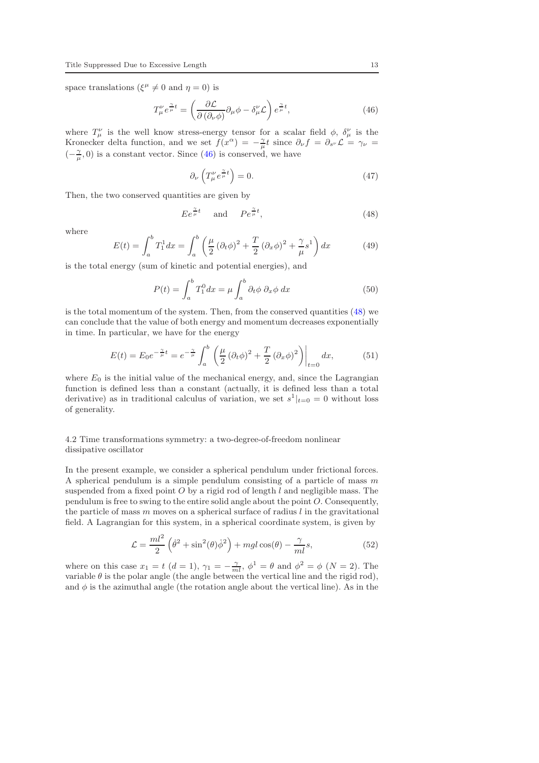space translations ( $\xi^{\mu} \neq 0$  and  $\eta = 0$ ) is

<span id="page-12-0"></span>
$$
T^{\nu}_{\mu}e^{\frac{\gamma}{\mu}t} = \left(\frac{\partial \mathcal{L}}{\partial\left(\partial_{\nu}\phi\right)}\partial_{\mu}\phi - \delta^{\nu}_{\mu}\mathcal{L}\right)e^{\frac{\gamma}{\mu}t},\tag{46}
$$

where  $T^{\nu}_{\mu}$  is the well know stress-energy tensor for a scalar field  $\phi$ ,  $\delta^{\nu}_{\mu}$  is the Kronecker delta function, and we set  $f(x^{\alpha}) = -\frac{\gamma}{\mu}t$  since  $\partial_{\nu} f = \partial_{s^{\nu}} \mathcal{L} = \gamma_{\nu}$  $(-\frac{\gamma}{\mu},0)$  is a constant vector. Since [\(46\)](#page-12-0) is conserved, we have

$$
\partial_{\nu} \left( T_{\mu}^{\nu} e^{\frac{\gamma}{\mu} t} \right) = 0. \tag{47}
$$

Then, the two conserved quantities are given by

<span id="page-12-1"></span>
$$
E e^{\frac{\gamma}{\mu}t} \quad \text{and} \quad P e^{\frac{\gamma}{\mu}t}, \tag{48}
$$

where

$$
E(t) = \int_{a}^{b} T_1^1 dx = \int_{a}^{b} \left( \frac{\mu}{2} (\partial_t \phi)^2 + \frac{T}{2} (\partial_x \phi)^2 + \frac{\gamma}{\mu} s^1 \right) dx \tag{49}
$$

is the total energy (sum of kinetic and potential energies), and

$$
P(t) = \int_{a}^{b} T_1^0 dx = \mu \int_{a}^{b} \partial_t \phi \partial_x \phi dx \tag{50}
$$

is the total momentum of the system. Then, from the conserved quantities [\(48\)](#page-12-1) we can conclude that the value of both energy and momentum decreases exponentially in time. In particular, we have for the energy

$$
E(t) = E_0 e^{-\frac{\gamma}{\mu}t} = e^{-\frac{\gamma}{\mu}} \int_a^b \left( \frac{\mu}{2} (\partial_t \phi)^2 + \frac{T}{2} (\partial_x \phi)^2 \right) \Big|_{t=0} dx, \tag{51}
$$

where  $E_0$  is the initial value of the mechanical energy, and, since the Lagrangian function is defined less than a constant (actually, it is defined less than a total derivative) as in traditional calculus of variation, we set  $s^1|_{t=0} = 0$  without loss of generality.

# 4.2 Time transformations symmetry: a two-degree-of-freedom nonlinear dissipative oscillator

In the present example, we consider a spherical pendulum under frictional forces. A spherical pendulum is a simple pendulum consisting of a particle of mass  $m$ suspended from a fixed point  $O$  by a rigid rod of length  $l$  and negligible mass. The pendulum is free to swing to the entire solid angle about the point O. Consequently, the particle of mass  $m$  moves on a spherical surface of radius  $l$  in the gravitational field. A Lagrangian for this system, in a spherical coordinate system, is given by

<span id="page-12-2"></span>
$$
\mathcal{L} = \frac{ml^2}{2} \left( \dot{\theta}^2 + \sin^2(\theta) \dot{\phi}^2 \right) + mgl \cos(\theta) - \frac{\gamma}{ml} s,
$$
\n(52)

where on this case  $x_1 = t$   $(d = 1)$ ,  $\gamma_1 = -\frac{\gamma}{ml}$ ,  $\phi^1 = \theta$  and  $\phi^2 = \phi$   $(N = 2)$ . The variable  $\theta$  is the polar angle (the angle between the vertical line and the rigid rod), and  $\phi$  is the azimuthal angle (the rotation angle about the vertical line). As in the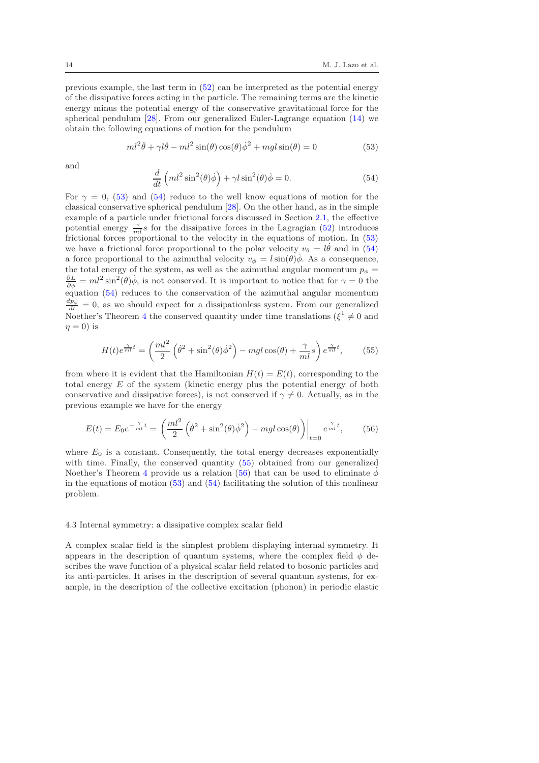previous example, the last term in [\(52\)](#page-12-2) can be interpreted as the potential energy of the dissipative forces acting in the particle. The remaining terms are the kinetic energy minus the potential energy of the conservative gravitational force for the spherical pendulum [\[28\]](#page-16-9). From our generalized Euler-Lagrange equation [\(14\)](#page-5-1) we obtain the following equations of motion for the pendulum

<span id="page-13-0"></span>
$$
ml^{2}\ddot{\theta} + \gamma l\dot{\theta} - ml^{2}\sin(\theta)\cos(\theta)\dot{\phi}^{2} + mgl\sin(\theta) = 0
$$
\n(53)

and

<span id="page-13-1"></span>
$$
\frac{d}{dt}\left(ml^2\sin^2(\theta)\dot{\phi}\right) + \gamma l\sin^2(\theta)\dot{\phi} = 0.
$$
\n(54)

For  $\gamma = 0$ , [\(53\)](#page-13-0) and [\(54\)](#page-13-1) reduce to the well know equations of motion for the classical conservative spherical pendulum [\[28\]](#page-16-9). On the other hand, as in the simple example of a particle under frictional forces discussed in Section [2.1,](#page-2-3) the effective potential energy  $\frac{\gamma}{ml} s$  for the dissipative forces in the Lagragian [\(52\)](#page-12-2) introduces frictional forces proportional to the velocity in the equations of motion. In [\(53\)](#page-13-0) we have a frictional force proportional to the polar velocity  $v_{\theta} = l\dot{\theta}$  and in [\(54\)](#page-13-1) a force proportional to the azimuthal velocity  $v_{\phi} = l \sin(\theta) \dot{\phi}$ . As a consequence, the total energy of the system, as well as the azimuthal angular momentum  $p_{\phi} =$  $\frac{\partial L}{\partial \dot{\phi}} = ml^2 \sin^2(\theta) \dot{\phi}$ , is not conserved. It is important to notice that for  $\gamma = 0$  the equation [\(54\)](#page-13-1) reduces to the conservation of the azimuthal angular momentum  $\frac{dp_{\phi}}{dt} = 0$ , as we should expect for a dissipationless system. From our generalized Noether's Theorem [4](#page-10-3) the conserved quantity under time translations  $(\xi^1 \neq 0$  and  $\eta = 0$ ) is

<span id="page-13-2"></span>
$$
H(t)e^{\frac{\gamma}{ml}t} = \left(\frac{ml^2}{2}\left(\dot{\theta}^2 + \sin^2(\theta)\dot{\phi}^2\right) - mgl\cos(\theta) + \frac{\gamma}{ml}s\right)e^{\frac{\gamma}{ml}t},\qquad(55)
$$

from where it is evident that the Hamiltonian  $H(t) = E(t)$ , corresponding to the total energy E of the system (kinetic energy plus the potential energy of both conservative and dissipative forces), is not conserved if  $\gamma \neq 0$ . Actually, as in the previous example we have for the energy

<span id="page-13-3"></span>
$$
E(t) = E_0 e^{-\frac{\gamma}{ml}t} = \left(\frac{ml^2}{2}\left(\dot{\theta}^2 + \sin^2(\theta)\dot{\phi}^2\right) - mgl\cos(\theta)\right)\bigg|_{t=0} e^{\frac{\gamma}{ml}t},\tag{56}
$$

where  $E_0$  is a constant. Consequently, the total energy decreases exponentially with time. Finally, the conserved quantity [\(55\)](#page-13-2) obtained from our generalized Noether's Theorem [4](#page-10-3) provide us a relation [\(56\)](#page-13-3) that can be used to eliminate  $\dot{\phi}$ in the equations of motion  $(53)$  and  $(54)$  facilitating the solution of this nonlinear problem.

#### 4.3 Internal symmetry: a dissipative complex scalar field

A complex scalar field is the simplest problem displaying internal symmetry. It appears in the description of quantum systems, where the complex field  $\phi$  describes the wave function of a physical scalar field related to bosonic particles and its anti-particles. It arises in the description of several quantum systems, for example, in the description of the collective excitation (phonon) in periodic elastic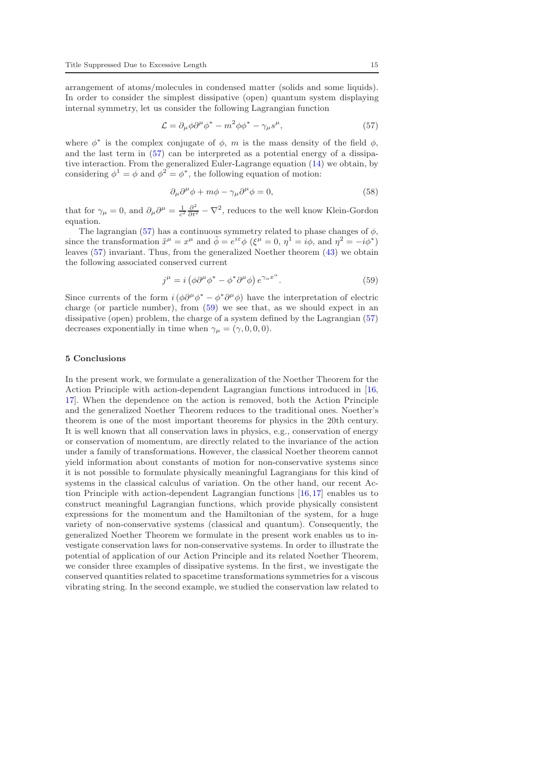arrangement of atoms/molecules in condensed matter (solids and some liquids). In order to consider the simplest dissipative (open) quantum system displaying internal symmetry, let us consider the following Lagrangian function

<span id="page-14-1"></span>
$$
\mathcal{L} = \partial_{\mu}\phi\partial^{\mu}\phi^* - m^2\phi\phi^* - \gamma_{\mu}s^{\mu},\tag{57}
$$

where  $\phi^*$  is the complex conjugate of  $\phi$ , m is the mass density of the field  $\phi$ , and the last term in [\(57\)](#page-14-1) can be interpreted as a potential energy of a dissipative interaction. From the generalized Euler-Lagrange equation [\(14\)](#page-5-1) we obtain, by considering  $\phi^1 = \phi$  and  $\phi^2 = \phi^*$ , the following equation of motion:

$$
\partial_{\mu}\partial^{\mu}\phi + m\phi - \gamma_{\mu}\partial^{\mu}\phi = 0, \qquad (58)
$$

that for  $\gamma_{\mu} = 0$ , and  $\partial_{\mu}\partial^{\mu} = \frac{1}{c^2} \frac{\partial^2}{\partial t^2} - \nabla^2$ , reduces to the well know Klein-Gordon equation.

The lagrangian [\(57\)](#page-14-1) has a continuous symmetry related to phase changes of  $\phi$ , since the transformation  $\tilde{x}^{\mu} = x^{\mu}$  and  $\tilde{\phi} = e^{i\varepsilon} \phi$  ( $\xi^{\mu} = 0$ ,  $\eta^{1} = i\phi$ , and  $\eta^{2} = -i\phi^{*}$ ) leaves [\(57\)](#page-14-1) invariant. Thus, from the generalized Noether theorem [\(43\)](#page-10-2) we obtain the following associated conserved current

<span id="page-14-2"></span>
$$
j^{\mu} = i \left( \phi \partial^{\mu} \phi^* - \phi^* \partial^{\mu} \phi \right) e^{\gamma \alpha x^{\alpha}}.
$$
 (59)

Since currents of the form  $i(\phi \partial^{\mu} \phi^* - \phi^* \partial^{\mu} \phi)$  have the interpretation of electric charge (or particle number), from [\(59\)](#page-14-2) we see that, as we should expect in an dissipative (open) problem, the charge of a system defined by the Lagrangian  $(57)$ decreases exponentially in time when  $\gamma_{\mu} = (\gamma, 0, 0, 0).$ 

## <span id="page-14-0"></span>5 Conclusions

In the present work, we formulate a generalization of the Noether Theorem for the Action Principle with action-dependent Lagrangian functions introduced in [\[16,](#page-15-15) [17\]](#page-15-16). When the dependence on the action is removed, both the Action Principle and the generalized Noether Theorem reduces to the traditional ones. Noether's theorem is one of the most important theorems for physics in the 20th century. It is well known that all conservation laws in physics, e.g., conservation of energy or conservation of momentum, are directly related to the invariance of the action under a family of transformations. However, the classical Noether theorem cannot yield information about constants of motion for non-conservative systems since it is not possible to formulate physically meaningful Lagrangians for this kind of systems in the classical calculus of variation. On the other hand, our recent Action Principle with action-dependent Lagrangian functions [\[16,](#page-15-15)[17\]](#page-15-16) enables us to construct meaningful Lagrangian functions, which provide physically consistent expressions for the momentum and the Hamiltonian of the system, for a huge variety of non-conservative systems (classical and quantum). Consequently, the generalized Noether Theorem we formulate in the present work enables us to investigate conservation laws for non-conservative systems. In order to illustrate the potential of application of our Action Principle and its related Noether Theorem, we consider three examples of dissipative systems. In the first, we investigate the conserved quantities related to spacetime transformations symmetries for a viscous vibrating string. In the second example, we studied the conservation law related to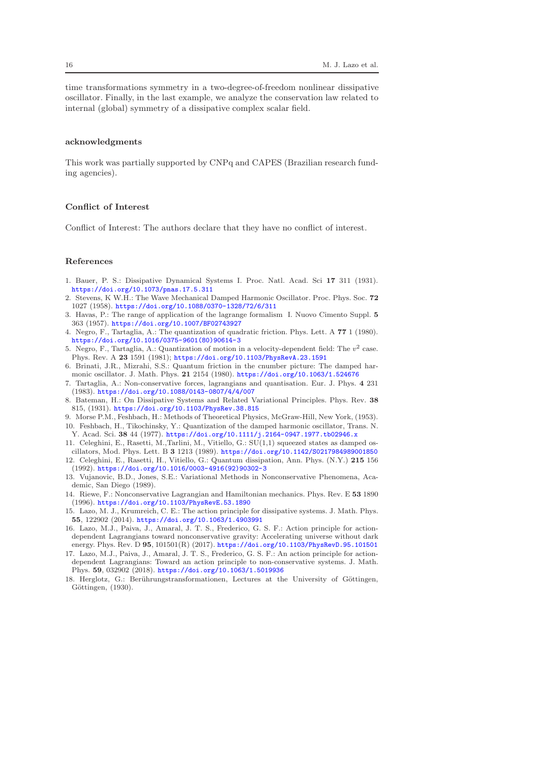time transformations symmetry in a two-degree-of-freedom nonlinear dissipative oscillator. Finally, in the last example, we analyze the conservation law related to internal (global) symmetry of a dissipative complex scalar field.

### acknowledgments

This work was partially supported by CNPq and CAPES (Brazilian research funding agencies).

## Conflict of Interest

Conflict of Interest: The authors declare that they have no conflict of interest.

## References

- <span id="page-15-0"></span>1. Bauer, P. S.: Dissipative Dynamical Systems I. Proc. Natl. Acad. Sci 17 311 (1931). <https://doi.org/10.1073/pnas.17.5.311>
- <span id="page-15-1"></span>2. Stevens, K W.H.: The Wave Mechanical Damped Harmonic Oscillator. Proc. Phys. Soc. 72 1027 (1958). <https://doi.org/10.1088/0370-1328/72/6/311>
- <span id="page-15-2"></span>3. Havas, P.: The range of application of the lagrange formalism I. Nuovo Cimento Suppl. 5 363 (1957). <https://doi.org/10.1007/BF02743927>
- <span id="page-15-3"></span>4. Negro, F., Tartaglia, A.: The quantization of quadratic friction. Phys. Lett. A 77 1 (1980). [https://doi.org/10.1016/0375-9601\(80\)90614-3](https://doi.org/10.1016/0375-9601(80)90614-3)
- <span id="page-15-4"></span>5. Negro, F., Tartaglia, A.: Quantization of motion in a velocity-dependent field: The  $v^2$  case. Phys. Rev. A 23 1591 (1981); <https://doi.org/10.1103/PhysRevA.23.1591>
- <span id="page-15-5"></span>6. Brinati, J.R., Mizrahi, S.S.: Quantum friction in the cnumber picture: The damped harmonic oscillator. J. Math. Phys. 21 2154 (1980). <https://doi.org/10.1063/1.524676>
- <span id="page-15-6"></span>7. Tartaglia, A.: Non-conservative forces, lagrangians and quantisation. Eur. J. Phys. 4 231 (1983). <https://doi.org/10.1088/0143-0807/4/4/007>
- <span id="page-15-7"></span>8. Bateman, H.: On Dissipative Systems and Related Variational Principles. Phys. Rev. 38 815, (1931). <https://doi.org/10.1103/PhysRev.38.815>
- <span id="page-15-9"></span><span id="page-15-8"></span>9. Morse P.M., Feshbach, H.: Methods of Theoretical Physics, McGraw-Hill, New York, (1953). 10. Feshbach, H., Tikochinsky, Y.: Quantization of the damped harmonic oscillator, Trans. N. Y. Acad. Sci. 38 44 (1977). <https://doi.org/10.1111/j.2164-0947.1977.tb02946.x>
- <span id="page-15-10"></span>11. Celeghini, E., Rasetti, M.,Tarlini, M., Vitiello, G.: SU(1,1) squeezed states as damped oscillators, Mod. Phys. Lett. B 3 1213 (1989). <https://doi.org/10.1142/S0217984989001850>
- <span id="page-15-11"></span>12. Celeghini, E., Rasetti, H., Vitiello, G.: Quantum dissipation, Ann. Phys. (N.Y.) 215 156 (1992). [https://doi.org/10.1016/0003-4916\(92\)90302-3](https://doi.org/10.1016/0003-4916(92)90302-3)
- <span id="page-15-12"></span>13. Vujanovic, B.D., Jones, S.E.: Variational Methods in Nonconservative Phenomena, Academic, San Diego (1989).
- <span id="page-15-13"></span>14. Riewe, F.: Nonconservative Lagrangian and Hamiltonian mechanics. Phys. Rev. E 53 1890 (1996). <https://doi.org/10.1103/PhysRevE.53.1890>
- <span id="page-15-14"></span>15. Lazo, M. J., Krumreich, C. E.: The action principle for dissipative systems. J. Math. Phys. 55, 122902 (2014). <https://doi.org/10.1063/1.4903991>
- <span id="page-15-15"></span>16. Lazo, M.J., Paiva, J., Amaral, J. T. S., Frederico, G. S. F.: Action principle for actiondependent Lagrangians toward nonconservative gravity: Accelerating universe without dark energy. Phys. Rev. D 95, 101501(R) (2017). <https://doi.org/10.1103/PhysRevD.95.101501>
- <span id="page-15-16"></span>17. Lazo, M.J., Paiva, J., Amaral, J. T. S., Frederico, G. S. F.: An action principle for actiondependent Lagrangians: Toward an action principle to non-conservative systems. J. Math. Phys. 59, 032902 (2018). <https://doi.org/10.1063/1.5019936>
- <span id="page-15-17"></span>18. Herglotz, G.: Berührungstransformationen, Lectures at the University of Göttingen, Göttingen, (1930).